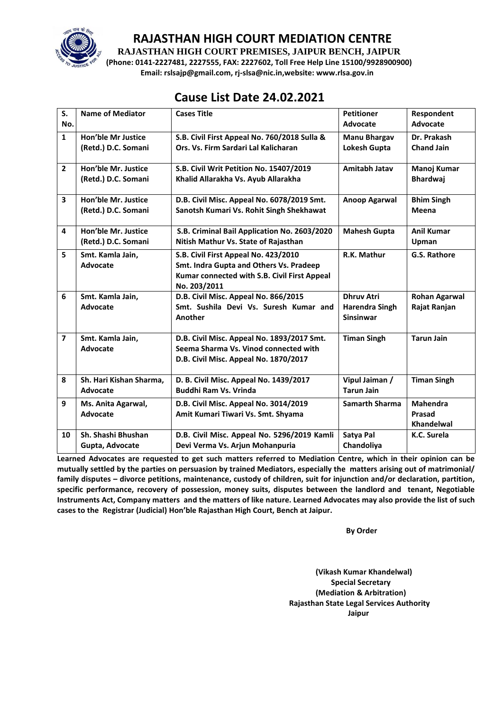

**RAJASTHAN HIGH COURT PREMISES, JAIPUR BENCH, JAIPUR**

**(Phone: 0141-2227481, 2227555, FAX: 2227602, Toll Free Help Line 15100/9928900900) Email: rslsajp@gmail.com, rj-slsa@nic.in,website: www.rlsa.gov.in**

# **Cause List Date 24.02.2021**

| S.<br>No.                | <b>Name of Mediator</b>                          | <b>Cases Title</b>                                                                                                                              | <b>Petitioner</b><br>Advocate                                  | Respondent<br>Advocate                         |
|--------------------------|--------------------------------------------------|-------------------------------------------------------------------------------------------------------------------------------------------------|----------------------------------------------------------------|------------------------------------------------|
| $\mathbf{1}$             | <b>Hon'ble Mr Justice</b><br>(Retd.) D.C. Somani | S.B. Civil First Appeal No. 760/2018 Sulla &<br>Ors. Vs. Firm Sardari Lal Kalicharan                                                            | <b>Manu Bhargav</b><br>Lokesh Gupta                            | Dr. Prakash<br><b>Chand Jain</b>               |
| $\overline{2}$           | Hon'ble Mr. Justice<br>(Retd.) D.C. Somani       | S.B. Civil Writ Petition No. 15407/2019<br>Khalid Allarakha Vs. Ayub Allarakha                                                                  | Amitabh Jatav                                                  | Manoj Kumar<br><b>Bhardwaj</b>                 |
| $\overline{\mathbf{3}}$  | Hon'ble Mr. Justice<br>(Retd.) D.C. Somani       | D.B. Civil Misc. Appeal No. 6078/2019 Smt.<br>Sanotsh Kumari Vs. Rohit Singh Shekhawat                                                          | <b>Anoop Agarwal</b>                                           | <b>Bhim Singh</b><br>Meena                     |
| 4                        | Hon'ble Mr. Justice<br>(Retd.) D.C. Somani       | S.B. Criminal Bail Application No. 2603/2020<br>Nitish Mathur Vs. State of Rajasthan                                                            | <b>Mahesh Gupta</b>                                            | <b>Anil Kumar</b><br>Upman                     |
| 5                        | Smt. Kamla Jain,<br>Advocate                     | S.B. Civil First Appeal No. 423/2010<br>Smt. Indra Gupta and Others Vs. Pradeep<br>Kumar connected with S.B. Civil First Appeal<br>No. 203/2011 | R.K. Mathur                                                    | G.S. Rathore                                   |
| 6                        | Smt. Kamla Jain,<br><b>Advocate</b>              | D.B. Civil Misc. Appeal No. 866/2015<br>Smt. Sushila Devi Vs. Suresh Kumar and<br>Another                                                       | <b>Dhruv Atri</b><br><b>Harendra Singh</b><br><b>Sinsinwar</b> | <b>Rohan Agarwal</b><br>Rajat Ranjan           |
| $\overline{\phantom{a}}$ | Smt. Kamla Jain,<br><b>Advocate</b>              | D.B. Civil Misc. Appeal No. 1893/2017 Smt.<br>Seema Sharma Vs. Vinod connected with<br>D.B. Civil Misc. Appeal No. 1870/2017                    | <b>Timan Singh</b>                                             | <b>Tarun Jain</b>                              |
| 8                        | Sh. Hari Kishan Sharma,<br>Advocate              | D. B. Civil Misc. Appeal No. 1439/2017<br><b>Buddhi Ram Vs. Vrinda</b>                                                                          | Vipul Jaiman /<br><b>Tarun Jain</b>                            | <b>Timan Singh</b>                             |
| 9                        | Ms. Anita Agarwal,<br>Advocate                   | D.B. Civil Misc. Appeal No. 3014/2019<br>Amit Kumari Tiwari Vs. Smt. Shyama                                                                     | <b>Samarth Sharma</b>                                          | <b>Mahendra</b><br>Prasad<br><b>Khandelwal</b> |
| 10                       | Sh. Shashi Bhushan<br>Gupta, Advocate            | D.B. Civil Misc. Appeal No. 5296/2019 Kamli<br>Devi Verma Vs. Arjun Mohanpuria                                                                  | Satya Pal<br>Chandoliya                                        | K.C. Surela                                    |

**Learned Advocates are requested to get such matters referred to Mediation Centre, which in their opinion can be mutually settled by the parties on persuasion by trained Mediators, especially the matters arising out of matrimonial/ family disputes – divorce petitions, maintenance, custody of children, suit for injunction and/or declaration, partition, specific performance, recovery of possession, money suits, disputes between the landlord and tenant, Negotiable Instruments Act, Company matters and the matters of like nature. Learned Advocates may also provide the list of such cases to the Registrar (Judicial) Hon'ble Rajasthan High Court, Bench at Jaipur.** 

**By Order** 

**(Vikash Kumar Khandelwal) Special Secretary (Mediation & Arbitration) Rajasthan State Legal Services Authority Jaipur**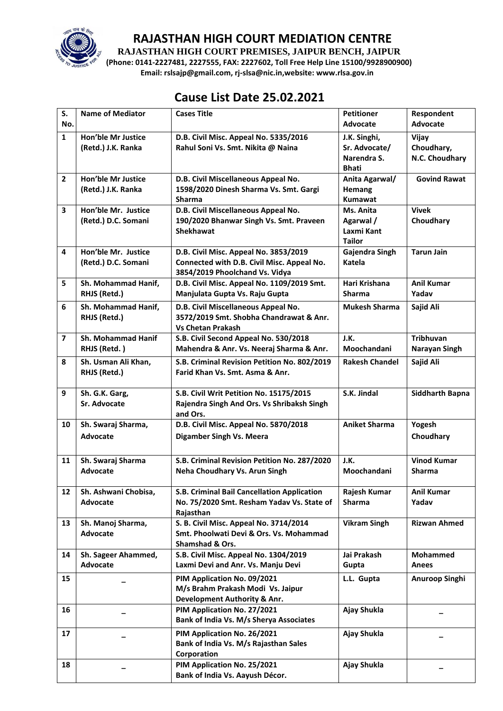

**RAJASTHAN HIGH COURT PREMISES, JAIPUR BENCH, JAIPUR**

**(Phone: 0141-2227481, 2227555, FAX: 2227602, Toll Free Help Line 15100/9928900900) Email: rslsajp@gmail.com, rj-slsa@nic.in,website: www.rlsa.gov.in**

# **Cause List Date 25.02.2021**

| S.<br>No.               | <b>Name of Mediator</b>   | <b>Cases Title</b>                           | <b>Petitioner</b><br><b>Advocate</b> | Respondent<br>Advocate |
|-------------------------|---------------------------|----------------------------------------------|--------------------------------------|------------------------|
| $\mathbf{1}$            | <b>Hon'ble Mr Justice</b> | D.B. Civil Misc. Appeal No. 5335/2016        | J.K. Singhi,                         | Vijay                  |
|                         | (Retd.) J.K. Ranka        | Rahul Soni Vs. Smt. Nikita @ Naina           | Sr. Advocate/                        | Choudhary,             |
|                         |                           |                                              | Narendra S.                          | N.C. Choudhary         |
|                         |                           |                                              | <b>Bhati</b>                         |                        |
| $\overline{2}$          | <b>Hon'ble Mr Justice</b> | D.B. Civil Miscellaneous Appeal No.          | Anita Agarwal/                       | <b>Govind Rawat</b>    |
|                         | (Retd.) J.K. Ranka        | 1598/2020 Dinesh Sharma Vs. Smt. Gargi       | Hemang                               |                        |
|                         |                           | <b>Sharma</b>                                | <b>Kumawat</b>                       |                        |
| 3                       | Hon'ble Mr. Justice       | D.B. Civil Miscellaneous Appeal No.          | Ms. Anita                            | <b>Vivek</b>           |
|                         | (Retd.) D.C. Somani       | 190/2020 Bhanwar Singh Vs. Smt. Praveen      | Agarwal /                            | Choudhary              |
|                         |                           | <b>Shekhawat</b>                             | Laxmi Kant                           |                        |
|                         |                           |                                              | <b>Tailor</b>                        |                        |
| 4                       | Hon'ble Mr. Justice       | D.B. Civil Misc. Appeal No. 3853/2019        | Gajendra Singh                       | <b>Tarun Jain</b>      |
|                         | (Retd.) D.C. Somani       | Connected with D.B. Civil Misc. Appeal No.   | Katela                               |                        |
|                         |                           | 3854/2019 Phoolchand Vs. Vidya               |                                      |                        |
| 5                       | Sh. Mohammad Hanif,       | D.B. Civil Misc. Appeal No. 1109/2019 Smt.   | Hari Krishana                        | <b>Anil Kumar</b>      |
|                         | RHJS (Retd.)              | Manjulata Gupta Vs. Raju Gupta               | <b>Sharma</b>                        | Yadav                  |
| 6                       | Sh. Mohammad Hanif,       | D.B. Civil Miscellaneous Appeal No.          | <b>Mukesh Sharma</b>                 | Sajid Ali              |
|                         | RHJS (Retd.)              | 3572/2019 Smt. Shobha Chandrawat & Anr.      |                                      |                        |
|                         |                           | <b>Vs Chetan Prakash</b>                     |                                      |                        |
| $\overline{\mathbf{z}}$ | <b>Sh. Mohammad Hanif</b> | S.B. Civil Second Appeal No. 530/2018        | J.K.                                 | <b>Tribhuvan</b>       |
|                         | RHJS (Retd.)              | Mahendra & Anr. Vs. Neeraj Sharma & Anr.     | Moochandani                          | Narayan Singh          |
| 8                       | Sh. Usman Ali Khan,       | S.B. Criminal Revision Petition No. 802/2019 | <b>Rakesh Chandel</b>                | Sajid Ali              |
|                         | RHJS (Retd.)              | Farid Khan Vs. Smt. Asma & Anr.              |                                      |                        |
|                         |                           |                                              |                                      |                        |
| 9                       | Sh. G.K. Garg,            | S.B. Civil Writ Petition No. 15175/2015      | S.K. Jindal                          | <b>Siddharth Bapna</b> |
|                         | Sr. Advocate              | Rajendra Singh And Ors. Vs Shribaksh Singh   |                                      |                        |
|                         |                           | and Ors.                                     |                                      |                        |
| 10                      | Sh. Swaraj Sharma,        | D.B. Civil Misc. Appeal No. 5870/2018        | <b>Aniket Sharma</b>                 | Yogesh                 |
|                         | <b>Advocate</b>           | Digamber Singh Vs. Meera                     |                                      | Choudhary              |
|                         |                           |                                              |                                      |                        |
| 11                      | Sh. Swaraj Sharma         | S.B. Criminal Revision Petition No. 287/2020 | J.K.                                 | <b>Vinod Kumar</b>     |
|                         | <b>Advocate</b>           | Neha Choudhary Vs. Arun Singh                | Moochandani                          | <b>Sharma</b>          |
|                         |                           |                                              |                                      |                        |
| 12                      | Sh. Ashwani Chobisa,      | S.B. Criminal Bail Cancellation Application  | Rajesh Kumar                         | <b>Anil Kumar</b>      |
|                         | <b>Advocate</b>           | No. 75/2020 Smt. Resham Yadav Vs. State of   | <b>Sharma</b>                        | Yadav                  |
|                         |                           | Rajasthan                                    |                                      |                        |
| 13                      | Sh. Manoj Sharma,         | S. B. Civil Misc. Appeal No. 3714/2014       | <b>Vikram Singh</b>                  | <b>Rizwan Ahmed</b>    |
|                         | <b>Advocate</b>           | Smt. Phoolwati Devi & Ors. Vs. Mohammad      |                                      |                        |
|                         |                           | Shamshad & Ors.                              |                                      |                        |
| 14                      | Sh. Sageer Ahammed,       | S.B. Civil Misc. Appeal No. 1304/2019        | Jai Prakash                          | <b>Mohammed</b>        |
|                         | Advocate                  | Laxmi Devi and Anr. Vs. Manju Devi           | Gupta                                | <b>Anees</b>           |
| 15                      |                           | PIM Application No. 09/2021                  | L.L. Gupta                           | Anuroop Singhi         |
|                         |                           | M/s Brahm Prakash Modi Vs. Jaipur            |                                      |                        |
|                         |                           | Development Authority & Anr.                 |                                      |                        |
| 16                      |                           | PIM Application No. 27/2021                  | Ajay Shukla                          |                        |
|                         |                           | Bank of India Vs. M/s Sherya Associates      |                                      |                        |
| 17                      |                           | PIM Application No. 26/2021                  | Ajay Shukla                          |                        |
|                         |                           | Bank of India Vs. M/s Rajasthan Sales        |                                      |                        |
|                         |                           | Corporation                                  |                                      |                        |
| 18                      |                           | PIM Application No. 25/2021                  | Ajay Shukla                          |                        |
|                         |                           | Bank of India Vs. Aayush Décor.              |                                      |                        |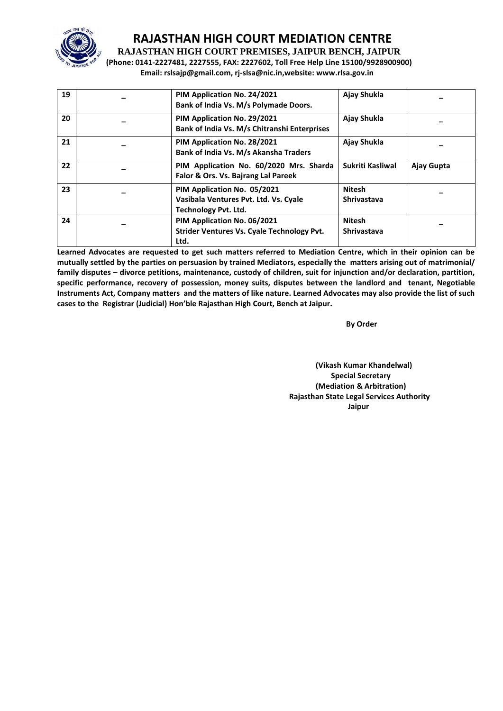

**RAJASTHAN HIGH COURT PREMISES, JAIPUR BENCH, JAIPUR**

**(Phone: 0141-2227481, 2227555, FAX: 2227602, Toll Free Help Line 15100/9928900900) Email: rslsajp@gmail.com, rj-slsa@nic.in,website: www.rlsa.gov.in**

| 19 | PIM Application No. 24/2021<br>Bank of India Vs. M/s Polymade Doors.                                | Ajay Shukla                         |            |
|----|-----------------------------------------------------------------------------------------------------|-------------------------------------|------------|
| 20 | PIM Application No. 29/2021<br>Bank of India Vs. M/s Chitranshi Enterprises                         | Ajay Shukla                         |            |
| 21 | PIM Application No. 28/2021<br>Bank of India Vs. M/s Akansha Traders                                | Ajay Shukla                         |            |
| 22 | PIM Application No. 60/2020 Mrs. Sharda<br>Falor & Ors. Vs. Bajrang Lal Pareek                      | Sukriti Kasliwal                    | Ajay Gupta |
| 23 | PIM Application No. 05/2021<br>Vasibala Ventures Pvt. Ltd. Vs. Cyale<br><b>Technology Pvt. Ltd.</b> | <b>Nitesh</b><br><b>Shrivastava</b> |            |
| 24 | PIM Application No. 06/2021<br>Strider Ventures Vs. Cyale Technology Pvt.<br>Ltd.                   | <b>Nitesh</b><br><b>Shrivastava</b> |            |

**Learned Advocates are requested to get such matters referred to Mediation Centre, which in their opinion can be mutually settled by the parties on persuasion by trained Mediators, especially the matters arising out of matrimonial/ family disputes – divorce petitions, maintenance, custody of children, suit for injunction and/or declaration, partition, specific performance, recovery of possession, money suits, disputes between the landlord and tenant, Negotiable Instruments Act, Company matters and the matters of like nature. Learned Advocates may also provide the list of such cases to the Registrar (Judicial) Hon'ble Rajasthan High Court, Bench at Jaipur.** 

**By Order** 

**(Vikash Kumar Khandelwal) Special Secretary (Mediation & Arbitration) Rajasthan State Legal Services Authority Jaipur**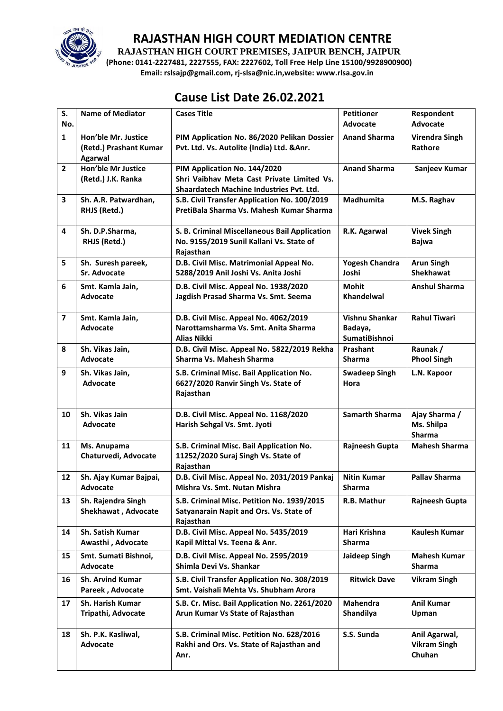

**RAJASTHAN HIGH COURT PREMISES, JAIPUR BENCH, JAIPUR**

**(Phone: 0141-2227481, 2227555, FAX: 2227602, Toll Free Help Line 15100/9928900900) Email: rslsajp@gmail.com, rj-slsa@nic.in,website: www.rlsa.gov.in**

# **Cause List Date 26.02.2021**

| S.<br>No.               | <b>Name of Mediator</b>                                  | <b>Cases Title</b>                                                                        | <b>Petitioner</b><br>Advocate   | Respondent<br><b>Advocate</b>    |
|-------------------------|----------------------------------------------------------|-------------------------------------------------------------------------------------------|---------------------------------|----------------------------------|
|                         |                                                          |                                                                                           |                                 |                                  |
| $\mathbf{1}$            | Hon'ble Mr. Justice<br>(Retd.) Prashant Kumar<br>Agarwal | PIM Application No. 86/2020 Pelikan Dossier<br>Pvt. Ltd. Vs. Autolite (India) Ltd. & Anr. | <b>Anand Sharma</b>             | <b>Virendra Singh</b><br>Rathore |
| $\mathbf{2}$            | <b>Hon'ble Mr Justice</b>                                | PIM Application No. 144/2020                                                              | <b>Anand Sharma</b>             | Sanjeev Kumar                    |
|                         | (Retd.) J.K. Ranka                                       | Shri Vaibhay Meta Cast Private Limited Vs.                                                |                                 |                                  |
|                         |                                                          | Shaardatech Machine Industries Pvt. Ltd.                                                  |                                 |                                  |
| 3                       | Sh. A.R. Patwardhan,                                     | S.B. Civil Transfer Application No. 100/2019                                              | Madhumita                       | M.S. Raghav                      |
|                         | RHJS (Retd.)                                             | PretiBala Sharma Vs. Mahesh Kumar Sharma                                                  |                                 |                                  |
| 4                       | Sh. D.P.Sharma,                                          | S. B. Criminal Miscellaneous Bail Application                                             | R.K. Agarwal                    | <b>Vivek Singh</b>               |
|                         | RHJS (Retd.)                                             | No. 9155/2019 Sunil Kallani Vs. State of                                                  |                                 | <b>Bajwa</b>                     |
|                         |                                                          | Rajasthan                                                                                 |                                 |                                  |
| 5                       | Sh. Suresh pareek,                                       | D.B. Civil Misc. Matrimonial Appeal No.                                                   | <b>Yogesh Chandra</b>           | <b>Arun Singh</b>                |
|                         | <b>Sr. Advocate</b>                                      | 5288/2019 Anil Joshi Vs. Anita Joshi                                                      | Joshi                           | <b>Shekhawat</b>                 |
| 6                       | Smt. Kamla Jain,                                         | D.B. Civil Misc. Appeal No. 1938/2020                                                     | Mohit                           | <b>Anshul Sharma</b>             |
|                         | <b>Advocate</b>                                          | Jagdish Prasad Sharma Vs. Smt. Seema                                                      | <b>Khandelwal</b>               |                                  |
|                         |                                                          |                                                                                           |                                 |                                  |
| $\overline{\mathbf{z}}$ | Smt. Kamla Jain,<br><b>Advocate</b>                      | D.B. Civil Misc. Appeal No. 4062/2019<br>Narottamsharma Vs. Smt. Anita Sharma             | Vishnu Shankar                  | <b>Rahul Tiwari</b>              |
|                         |                                                          | <b>Alias Nikki</b>                                                                        | Badaya,<br><b>SumatiBishnoi</b> |                                  |
| 8                       | Sh. Vikas Jain,                                          | D.B. Civil Misc. Appeal No. 5822/2019 Rekha                                               | Prashant                        | Raunak /                         |
|                         | <b>Advocate</b>                                          | Sharma Vs. Mahesh Sharma                                                                  | <b>Sharma</b>                   | <b>Phool Singh</b>               |
| 9                       | Sh. Vikas Jain,                                          | S.B. Criminal Misc. Bail Application No.                                                  | <b>Swadeep Singh</b>            | L.N. Kapoor                      |
|                         | Advocate                                                 | 6627/2020 Ranvir Singh Vs. State of                                                       | Hora                            |                                  |
|                         |                                                          | Rajasthan                                                                                 |                                 |                                  |
|                         |                                                          |                                                                                           |                                 |                                  |
| 10                      | Sh. Vikas Jain                                           | D.B. Civil Misc. Appeal No. 1168/2020                                                     | <b>Samarth Sharma</b>           | Ajay Sharma /                    |
|                         | Advocate                                                 | Harish Sehgal Vs. Smt. Jyoti                                                              |                                 | Ms. Shilpa                       |
|                         |                                                          |                                                                                           |                                 | Sharma                           |
| 11                      | Ms. Anupama                                              | S.B. Criminal Misc. Bail Application No.                                                  | <b>Rajneesh Gupta</b>           | <b>Mahesh Sharma</b>             |
|                         | Chaturvedi, Advocate                                     | 11252/2020 Suraj Singh Vs. State of<br>Rajasthan                                          |                                 |                                  |
| 12                      | Sh. Ajay Kumar Bajpai,                                   | D.B. Civil Misc. Appeal No. 2031/2019 Pankaj                                              | <b>Nitin Kumar</b>              | <b>Pallav Sharma</b>             |
|                         | Advocate                                                 | Mishra Vs. Smt. Nutan Mishra                                                              | Sharma                          |                                  |
| 13                      | Sh. Rajendra Singh                                       | S.B. Criminal Misc. Petition No. 1939/2015                                                | R.B. Mathur                     | <b>Rajneesh Gupta</b>            |
|                         | Shekhawat, Advocate                                      | Satyanarain Napit and Ors. Vs. State of                                                   |                                 |                                  |
|                         |                                                          | Rajasthan                                                                                 |                                 |                                  |
| 14                      | <b>Sh. Satish Kumar</b>                                  | D.B. Civil Misc. Appeal No. 5435/2019                                                     | Hari Krishna                    | <b>Kaulesh Kumar</b>             |
|                         | Awasthi, Advocate                                        | Kapil Mittal Vs. Teena & Anr.                                                             | <b>Sharma</b>                   |                                  |
| 15                      | Smt. Sumati Bishnoi,                                     | D.B. Civil Misc. Appeal No. 2595/2019                                                     | Jaideep Singh                   | <b>Mahesh Kumar</b>              |
|                         | Advocate                                                 | Shimla Devi Vs. Shankar                                                                   |                                 | <b>Sharma</b>                    |
| 16                      | <b>Sh. Arvind Kumar</b>                                  | S.B. Civil Transfer Application No. 308/2019                                              | <b>Ritwick Dave</b>             | <b>Vikram Singh</b>              |
|                         | Pareek, Advocate                                         | Smt. Vaishali Mehta Vs. Shubham Arora                                                     |                                 |                                  |
| 17                      | <b>Sh. Harish Kumar</b>                                  | S.B. Cr. Misc. Bail Application No. 2261/2020                                             | <b>Mahendra</b>                 | <b>Anil Kumar</b>                |
|                         | Tripathi, Advocate                                       | Arun Kumar Vs State of Rajasthan                                                          | Shandilya                       | Upman                            |
|                         |                                                          |                                                                                           |                                 |                                  |
| 18                      | Sh. P.K. Kasliwal,                                       | S.B. Criminal Misc. Petition No. 628/2016                                                 | S.S. Sunda                      | Anil Agarwal,                    |
|                         | Advocate                                                 | Rakhi and Ors. Vs. State of Rajasthan and                                                 |                                 | <b>Vikram Singh</b>              |
|                         |                                                          | Anr.                                                                                      |                                 | Chuhan                           |
|                         |                                                          |                                                                                           |                                 |                                  |